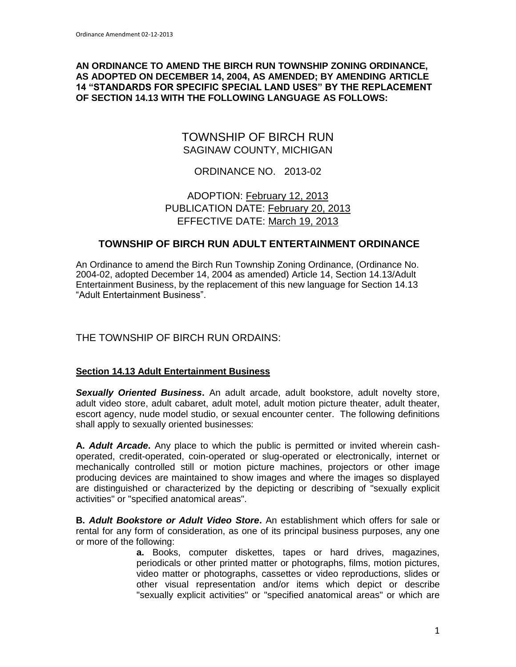#### **AN ORDINANCE TO AMEND THE BIRCH RUN TOWNSHIP ZONING ORDINANCE, AS ADOPTED ON DECEMBER 14, 2004, AS AMENDED; BY AMENDING ARTICLE 14 "STANDARDS FOR SPECIFIC SPECIAL LAND USES" BY THE REPLACEMENT OF SECTION 14.13 WITH THE FOLLOWING LANGUAGE AS FOLLOWS:**

# TOWNSHIP OF BIRCH RUN SAGINAW COUNTY, MICHIGAN

## ORDINANCE NO. 2013-02

# ADOPTION: February 12, 2013 PUBLICATION DATE: February 20, 2013 EFFECTIVE DATE: March 19, 2013

## **TOWNSHIP OF BIRCH RUN ADULT ENTERTAINMENT ORDINANCE**

An Ordinance to amend the Birch Run Township Zoning Ordinance, (Ordinance No. 2004-02, adopted December 14, 2004 as amended) Article 14, Section 14.13/Adult Entertainment Business, by the replacement of this new language for Section 14.13 "Adult Entertainment Business".

## THE TOWNSHIP OF BIRCH RUN ORDAINS:

#### **Section 14.13 Adult Entertainment Business**

*Sexually Oriented Business***.** An adult arcade, adult bookstore, adult novelty store, adult video store, adult cabaret, adult motel, adult motion picture theater, adult theater, escort agency, nude model studio, or sexual encounter center. The following definitions shall apply to sexually oriented businesses:

**A.** *Adult Arcade***.** Any place to which the public is permitted or invited wherein cashoperated, credit-operated, coin-operated or slug-operated or electronically, internet or mechanically controlled still or motion picture machines, projectors or other image producing devices are maintained to show images and where the images so displayed are distinguished or characterized by the depicting or describing of "sexually explicit activities" or "specified anatomical areas".

**B.** *Adult Bookstore or Adult Video Store***.** An establishment which offers for sale or rental for any form of consideration, as one of its principal business purposes, any one or more of the following:

> **a.** Books, computer diskettes, tapes or hard drives, magazines, periodicals or other printed matter or photographs, films, motion pictures, video matter or photographs, cassettes or video reproductions, slides or other visual representation and/or items which depict or describe "sexually explicit activities" or "specified anatomical areas" or which are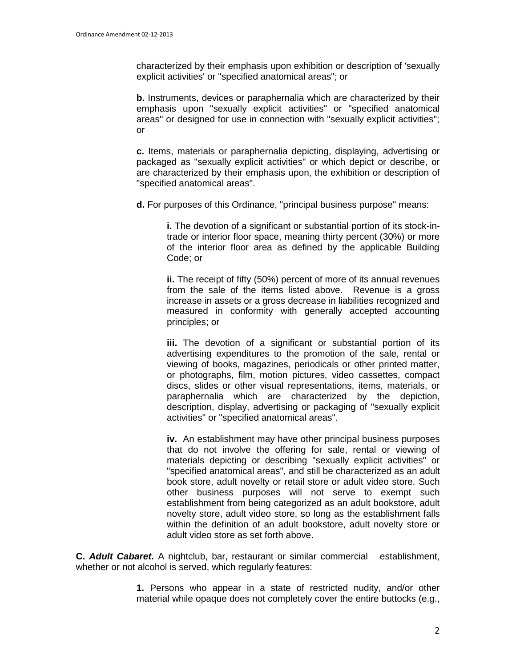characterized by their emphasis upon exhibition or description of 'sexually explicit activities' or "specified anatomical areas"; or

**b.** Instruments, devices or paraphernalia which are characterized by their emphasis upon "sexually explicit activities" or "specified anatomical areas" or designed for use in connection with "sexually explicit activities"; or

**c.** Items, materials or paraphernalia depicting, displaying, advertising or packaged as "sexually explicit activities" or which depict or describe, or are characterized by their emphasis upon, the exhibition or description of "specified anatomical areas".

**d.** For purposes of this Ordinance, "principal business purpose" means:

**i.** The devotion of a significant or substantial portion of its stock-intrade or interior floor space, meaning thirty percent (30%) or more of the interior floor area as defined by the applicable Building Code; or

**ii.** The receipt of fifty (50%) percent of more of its annual revenues from the sale of the items listed above. Revenue is a gross increase in assets or a gross decrease in liabilities recognized and measured in conformity with generally accepted accounting principles; or

**iii.** The devotion of a significant or substantial portion of its advertising expenditures to the promotion of the sale, rental or viewing of books, magazines, periodicals or other printed matter, or photographs, film, motion pictures, video cassettes, compact discs, slides or other visual representations, items, materials, or paraphernalia which are characterized by the depiction, description, display, advertising or packaging of "sexually explicit activities" or "specified anatomical areas".

**iv.** An establishment may have other principal business purposes that do not involve the offering for sale, rental or viewing of materials depicting or describing "sexually explicit activities" or "specified anatomical areas", and still be characterized as an adult book store, adult novelty or retail store or adult video store. Such other business purposes will not serve to exempt such establishment from being categorized as an adult bookstore, adult novelty store, adult video store, so long as the establishment falls within the definition of an adult bookstore, adult novelty store or adult video store as set forth above.

**C.** *Adult Cabaret***.** A nightclub, bar, restaurant or similar commercial establishment, whether or not alcohol is served, which regularly features:

> **1.** Persons who appear in a state of restricted nudity, and/or other material while opaque does not completely cover the entire buttocks (e.g.,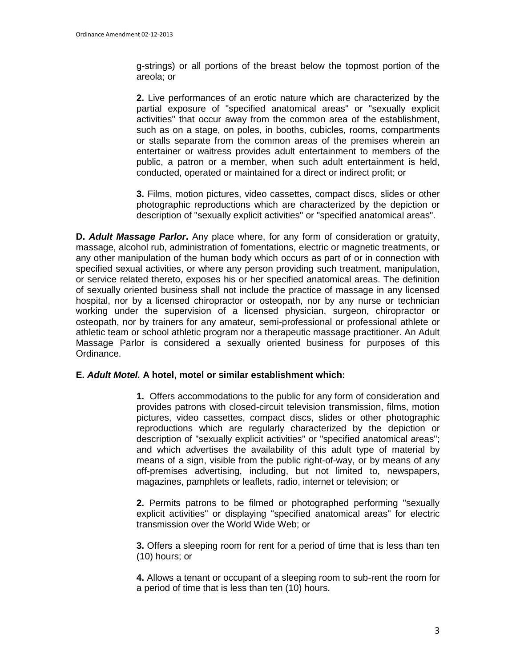g-strings) or all portions of the breast below the topmost portion of the areola; or

**2.** Live performances of an erotic nature which are characterized by the partial exposure of "specified anatomical areas" or "sexually explicit activities" that occur away from the common area of the establishment, such as on a stage, on poles, in booths, cubicles, rooms, compartments or stalls separate from the common areas of the premises wherein an entertainer or waitress provides adult entertainment to members of the public, a patron or a member, when such adult entertainment is held, conducted, operated or maintained for a direct or indirect profit; or

**3.** Films, motion pictures, video cassettes, compact discs, slides or other photographic reproductions which are characterized by the depiction or description of "sexually explicit activities" or "specified anatomical areas".

**D.** *Adult Massage Parlor***.** Any place where, for any form of consideration or gratuity, massage, alcohol rub, administration of fomentations, electric or magnetic treatments, or any other manipulation of the human body which occurs as part of or in connection with specified sexual activities, or where any person providing such treatment, manipulation, or service related thereto, exposes his or her specified anatomical areas. The definition of sexually oriented business shall not include the practice of massage in any licensed hospital, nor by a licensed chiropractor or osteopath, nor by any nurse or technician working under the supervision of a licensed physician, surgeon, chiropractor or osteopath, nor by trainers for any amateur, semi-professional or professional athlete or athletic team or school athletic program nor a therapeutic massage practitioner. An Adult Massage Parlor is considered a sexually oriented business for purposes of this Ordinance.

#### **E.** *Adult Motel.* **A hotel, motel or similar establishment which:**

**1.** Offers accommodations to the public for any form of consideration and provides patrons with closed-circuit television transmission, films, motion pictures, video cassettes, compact discs, slides or other photographic reproductions which are regularly characterized by the depiction or description of "sexually explicit activities" or "specified anatomical areas"; and which advertises the availability of this adult type of material by means of a sign, visible from the public right-of-way, or by means of any off-premises advertising, including, but not limited to, newspapers, magazines, pamphlets or leaflets, radio, internet or television; or

**2.** Permits patrons to be filmed or photographed performing "sexually explicit activities" or displaying "specified anatomical areas" for electric transmission over the World Wide Web; or

**3.** Offers a sleeping room for rent for a period of time that is less than ten (10) hours; or

**4.** Allows a tenant or occupant of a sleeping room to sub-rent the room for a period of time that is less than ten (10) hours.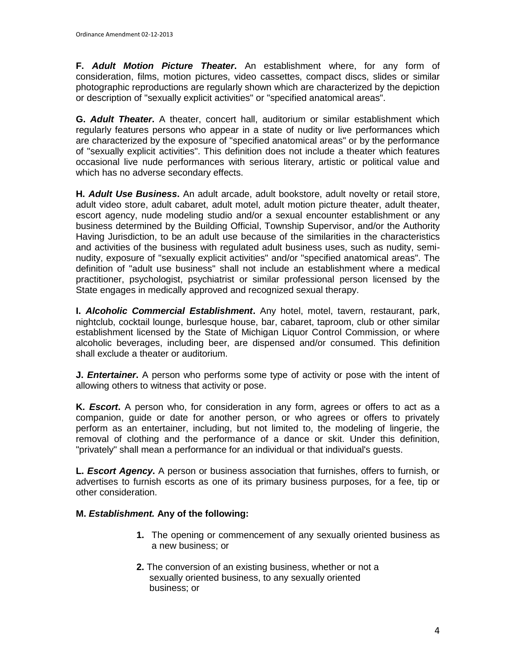**F.** *Adult Motion Picture Theater***.** An establishment where, for any form of consideration, films, motion pictures, video cassettes, compact discs, slides or similar photographic reproductions are regularly shown which are characterized by the depiction or description of "sexually explicit activities" or "specified anatomical areas".

**G.** *Adult Theater***.** A theater, concert hall, auditorium or similar establishment which regularly features persons who appear in a state of nudity or live performances which are characterized by the exposure of "specified anatomical areas" or by the performance of "sexually explicit activities". This definition does not include a theater which features occasional live nude performances with serious literary, artistic or political value and which has no adverse secondary effects.

**H.** *Adult Use Business***.** An adult arcade, adult bookstore, adult novelty or retail store, adult video store, adult cabaret, adult motel, adult motion picture theater, adult theater, escort agency, nude modeling studio and/or a sexual encounter establishment or any business determined by the Building Official, Township Supervisor, and/or the Authority Having Jurisdiction, to be an adult use because of the similarities in the characteristics and activities of the business with regulated adult business uses, such as nudity, seminudity, exposure of "sexually explicit activities" and/or "specified anatomical areas". The definition of "adult use business" shall not include an establishment where a medical practitioner, psychologist, psychiatrist or similar professional person licensed by the State engages in medically approved and recognized sexual therapy.

**I.** *Alcoholic Commercial Establishment***.** Any hotel, motel, tavern, restaurant, park, nightclub, cocktail lounge, burlesque house, bar, cabaret, taproom, club or other similar establishment licensed by the State of Michigan Liquor Control Commission, or where alcoholic beverages, including beer, are dispensed and/or consumed. This definition shall exclude a theater or auditorium.

**J.** *Entertainer***.** A person who performs some type of activity or pose with the intent of allowing others to witness that activity or pose.

**K.** *Escort***.** A person who, for consideration in any form, agrees or offers to act as a companion, guide or date for another person, or who agrees or offers to privately perform as an entertainer, including, but not limited to, the modeling of lingerie, the removal of clothing and the performance of a dance or skit. Under this definition, "privately" shall mean a performance for an individual or that individual's guests.

**L.** *Escort Agency***.** A person or business association that furnishes, offers to furnish, or advertises to furnish escorts as one of its primary business purposes, for a fee, tip or other consideration.

## **M.** *Establishment.* **Any of the following:**

- **1.** The opening or commencement of any sexually oriented business as a new business; or
- **2.** The conversion of an existing business, whether or not a sexually oriented business, to any sexually oriented business; or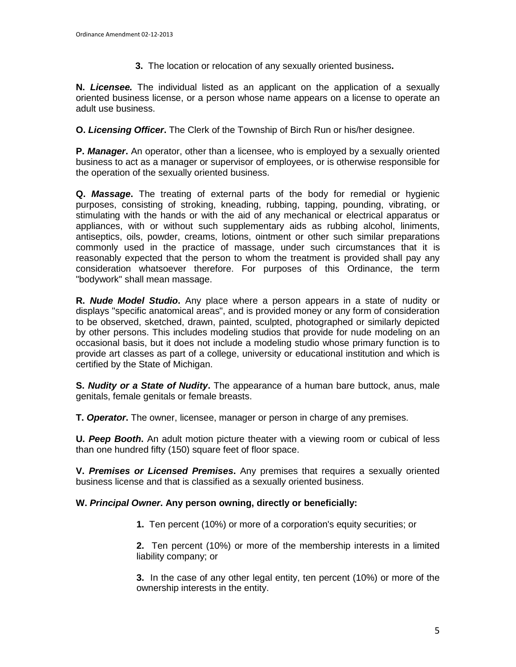**3.** The location or relocation of any sexually oriented business**.** 

**N.** *Licensee.* The individual listed as an applicant on the application of a sexually oriented business license, or a person whose name appears on a license to operate an adult use business.

**O.** *Licensing Officer***.** The Clerk of the Township of Birch Run or his/her designee.

**P.** *Manager***.** An operator, other than a licensee, who is employed by a sexually oriented business to act as a manager or supervisor of employees, or is otherwise responsible for the operation of the sexually oriented business.

**Q.** *Massage***.** The treating of external parts of the body for remedial or hygienic purposes, consisting of stroking, kneading, rubbing, tapping, pounding, vibrating, or stimulating with the hands or with the aid of any mechanical or electrical apparatus or appliances, with or without such supplementary aids as rubbing alcohol, liniments, antiseptics, oils, powder, creams, lotions, ointment or other such similar preparations commonly used in the practice of massage, under such circumstances that it is reasonably expected that the person to whom the treatment is provided shall pay any consideration whatsoever therefore. For purposes of this Ordinance, the term "bodywork" shall mean massage.

**R.** *Nude Model Studio***.** Any place where a person appears in a state of nudity or displays "specific anatomical areas", and is provided money or any form of consideration to be observed, sketched, drawn, painted, sculpted, photographed or similarly depicted by other persons. This includes modeling studios that provide for nude modeling on an occasional basis, but it does not include a modeling studio whose primary function is to provide art classes as part of a college, university or educational institution and which is certified by the State of Michigan.

**S.** *Nudity or a State of Nudity***.** The appearance of a human bare buttock, anus, male genitals, female genitals or female breasts.

**T.** *Operator***.** The owner, licensee, manager or person in charge of any premises.

**U.** *Peep Booth***.** An adult motion picture theater with a viewing room or cubical of less than one hundred fifty (150) square feet of floor space.

**V.** *Premises or Licensed Premises***.** Any premises that requires a sexually oriented business license and that is classified as a sexually oriented business.

## **W.** *Principal Owner***. Any person owning, directly or beneficially:**

**1.** Ten percent (10%) or more of a corporation's equity securities; or

**2.** Ten percent (10%) or more of the membership interests in a limited liability company; or

**3.** In the case of any other legal entity, ten percent (10%) or more of the ownership interests in the entity.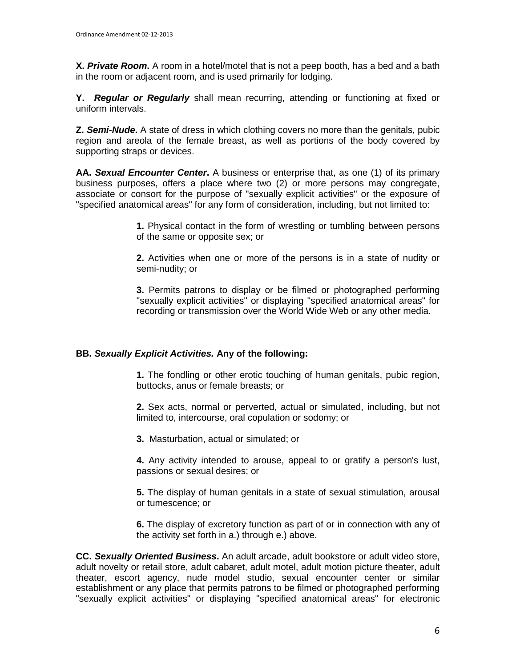**X.** *Private Room***.** A room in a hotel/motel that is not a peep booth, has a bed and a bath in the room or adjacent room, and is used primarily for lodging.

**Y.** *Regular or Regularly* shall mean recurring, attending or functioning at fixed or uniform intervals.

**Z.** *Semi-Nude***.** A state of dress in which clothing covers no more than the genitals, pubic region and areola of the female breast, as well as portions of the body covered by supporting straps or devices.

**AA.** *Sexual Encounter Center***.** A business or enterprise that, as one (1) of its primary business purposes, offers a place where two (2) or more persons may congregate, associate or consort for the purpose of "sexually explicit activities" or the exposure of "specified anatomical areas" for any form of consideration, including, but not limited to:

> **1.** Physical contact in the form of wrestling or tumbling between persons of the same or opposite sex; or

> **2.** Activities when one or more of the persons is in a state of nudity or semi-nudity; or

> **3.** Permits patrons to display or be filmed or photographed performing "sexually explicit activities" or displaying "specified anatomical areas" for recording or transmission over the World Wide Web or any other media.

## **BB.** *Sexually Explicit Activities.* **Any of the following:**

**1.** The fondling or other erotic touching of human genitals, pubic region, buttocks, anus or female breasts; or

**2.** Sex acts, normal or perverted, actual or simulated, including, but not limited to, intercourse, oral copulation or sodomy; or

**3.** Masturbation, actual or simulated; or

**4.** Any activity intended to arouse, appeal to or gratify a person's lust, passions or sexual desires; or

**5.** The display of human genitals in a state of sexual stimulation, arousal or tumescence; or

**6.** The display of excretory function as part of or in connection with any of the activity set forth in a.) through e.) above.

**CC.** *Sexually Oriented Business***.** An adult arcade, adult bookstore or adult video store, adult novelty or retail store, adult cabaret, adult motel, adult motion picture theater, adult theater, escort agency, nude model studio, sexual encounter center or similar establishment or any place that permits patrons to be filmed or photographed performing "sexually explicit activities" or displaying "specified anatomical areas" for electronic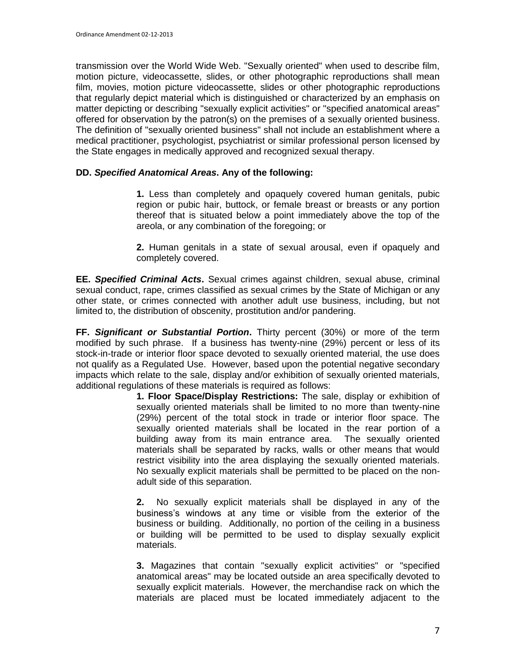transmission over the World Wide Web. "Sexually oriented" when used to describe film, motion picture, videocassette, slides, or other photographic reproductions shall mean film, movies, motion picture videocassette, slides or other photographic reproductions that regularly depict material which is distinguished or characterized by an emphasis on matter depicting or describing "sexually explicit activities" or "specified anatomical areas" offered for observation by the patron(s) on the premises of a sexually oriented business. The definition of "sexually oriented business" shall not include an establishment where a medical practitioner, psychologist, psychiatrist or similar professional person licensed by the State engages in medically approved and recognized sexual therapy.

## **DD.** *Specified Anatomical Areas***. Any of the following:**

**1.** Less than completely and opaquely covered human genitals, pubic region or pubic hair, buttock, or female breast or breasts or any portion thereof that is situated below a point immediately above the top of the areola, or any combination of the foregoing; or

**2.** Human genitals in a state of sexual arousal, even if opaquely and completely covered.

**EE.** *Specified Criminal Acts***.** Sexual crimes against children, sexual abuse, criminal sexual conduct, rape, crimes classified as sexual crimes by the State of Michigan or any other state, or crimes connected with another adult use business, including, but not limited to, the distribution of obscenity, prostitution and/or pandering.

**FF.** *Significant or Substantial Portion***.** Thirty percent (30%) or more of the term modified by such phrase. If a business has twenty-nine (29%) percent or less of its stock-in-trade or interior floor space devoted to sexually oriented material, the use does not qualify as a Regulated Use. However, based upon the potential negative secondary impacts which relate to the sale, display and/or exhibition of sexually oriented materials, additional regulations of these materials is required as follows:

**1. Floor Space/Display Restrictions:** The sale, display or exhibition of sexually oriented materials shall be limited to no more than twenty-nine (29%) percent of the total stock in trade or interior floor space. The sexually oriented materials shall be located in the rear portion of a building away from its main entrance area. The sexually oriented materials shall be separated by racks, walls or other means that would restrict visibility into the area displaying the sexually oriented materials. No sexually explicit materials shall be permitted to be placed on the nonadult side of this separation.

**2.** No sexually explicit materials shall be displayed in any of the business's windows at any time or visible from the exterior of the business or building. Additionally, no portion of the ceiling in a business or building will be permitted to be used to display sexually explicit materials.

**3.** Magazines that contain "sexually explicit activities" or "specified anatomical areas" may be located outside an area specifically devoted to sexually explicit materials. However, the merchandise rack on which the materials are placed must be located immediately adjacent to the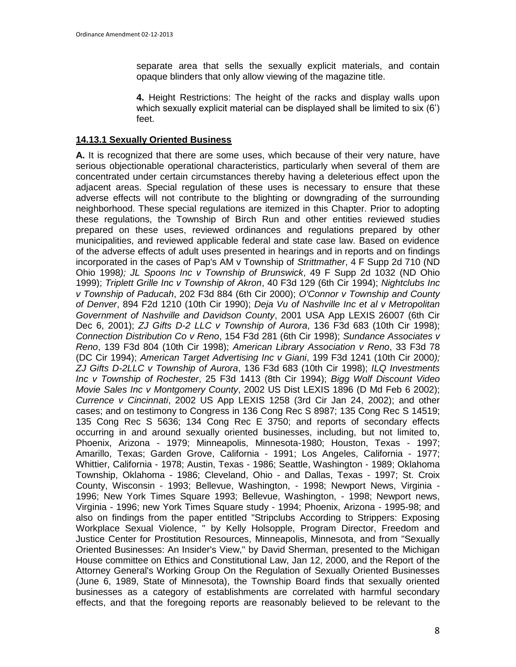separate area that sells the sexually explicit materials, and contain opaque blinders that only allow viewing of the magazine title.

**4.** Height Restrictions: The height of the racks and display walls upon which sexually explicit material can be displayed shall be limited to six (6') feet.

#### **14.13.1 Sexually Oriented Business**

**A.** It is recognized that there are some uses, which because of their very nature, have serious objectionable operational characteristics, particularly when several of them are concentrated under certain circumstances thereby having a deleterious effect upon the adjacent areas. Special regulation of these uses is necessary to ensure that these adverse effects will not contribute to the blighting or downgrading of the surrounding neighborhood. These special regulations are itemized in this Chapter. Prior to adopting these regulations, the Township of Birch Run and other entities reviewed studies prepared on these uses, reviewed ordinances and regulations prepared by other municipalities, and reviewed applicable federal and state case law. Based on evidence of the adverse effects of adult uses presented in hearings and in reports and on findings incorporated in the cases of Pap's AM v Township of *Strittmather*, 4 F Supp 2d 710 (ND Ohio 1998*); JL Spoons Inc v Township of Brunswick*, 49 F Supp 2d 1032 (ND Ohio 1999); *Triplett Grille Inc v Township of Akron*, 40 F3d 129 (6th Cir 1994); *Nightclubs Inc v Township of Paducah*, 202 F3d 884 (6th Cir 2000); *O'Connor v Township and County of Denver*, 894 F2d 1210 (10th Cir 1990); *Deja Vu of Nashville Inc et al v Metropolitan Government of Nashville and Davidson County*, 2001 USA App LEXIS 26007 (6th Cir Dec 6, 2001); *ZJ Gifts D-2 LLC v Township of Aurora*, 136 F3d 683 (10th Cir 1998); *Connection Distribution Co v Reno*, 154 F3d 281 (6th Cir 1998); *Sundance Associates v Reno*, 139 F3d 804 (10th Cir 1998); *American Library Association v Reno*, 33 F3d 78 (DC Cir 1994); *American Target Advertising Inc v Giani*, 199 F3d 1241 (10th Cir 2000*); ZJ Gifts D-2LLC v Township of Aurora*, 136 F3d 683 (10th Cir 1998); *ILQ Investments Inc v Township of Rochester*, 25 F3d 1413 (8th Cir 1994); *Bigg Wolf Discount Video Movie Sales Inc v Montgomery County*, 2002 US Dist LEXIS 1896 (D Md Feb 6 2002); *Currence v Cincinnati*, 2002 US App LEXIS 1258 (3rd Cir Jan 24, 2002); and other cases; and on testimony to Congress in 136 Cong Rec S 8987; 135 Cong Rec S 14519; 135 Cong Rec S 5636; 134 Cong Rec E 3750; and reports of secondary effects occurring in and around sexually oriented businesses, including, but not limited to, Phoenix, Arizona - 1979; Minneapolis, Minnesota-1980; Houston, Texas - 1997; Amarillo, Texas; Garden Grove, California - 1991; Los Angeles, California - 1977; Whittier, California - 1978; Austin, Texas - 1986; Seattle, Washington - 1989; Oklahoma Township, Oklahoma - 1986; Cleveland, Ohio - and Dallas, Texas - 1997; St. Croix County, Wisconsin - 1993; Bellevue, Washington, - 1998; Newport News, Virginia - 1996; New York Times Square 1993; Bellevue, Washington, - 1998; Newport news, Virginia - 1996; new York Times Square study - 1994; Phoenix, Arizona - 1995-98; and also on findings from the paper entitled "Stripclubs According to Strippers: Exposing Workplace Sexual Violence, " by Kelly Holsopple, Program Director, Freedom and Justice Center for Prostitution Resources, Minneapolis, Minnesota, and from "Sexually Oriented Businesses: An Insider's View," by David Sherman, presented to the Michigan House committee on Ethics and Constitutional Law, Jan 12, 2000, and the Report of the Attorney General's Working Group On the Regulation of Sexually Oriented Businesses (June 6, 1989, State of Minnesota), the Township Board finds that sexually oriented businesses as a category of establishments are correlated with harmful secondary effects, and that the foregoing reports are reasonably believed to be relevant to the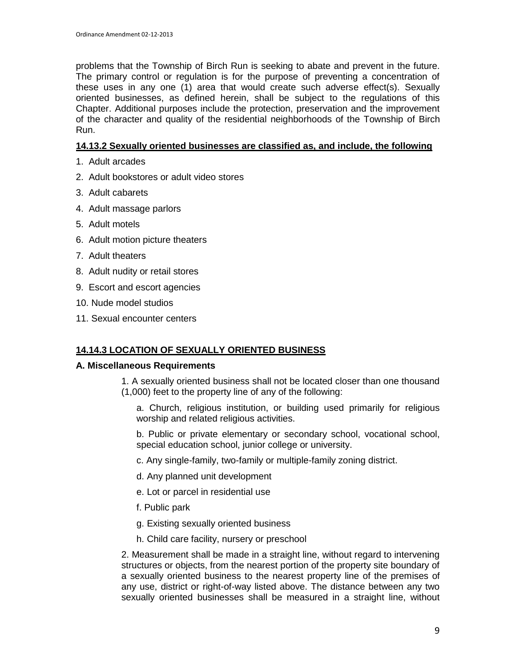problems that the Township of Birch Run is seeking to abate and prevent in the future. The primary control or regulation is for the purpose of preventing a concentration of these uses in any one (1) area that would create such adverse effect(s). Sexually oriented businesses, as defined herein, shall be subject to the regulations of this Chapter. Additional purposes include the protection, preservation and the improvement of the character and quality of the residential neighborhoods of the Township of Birch Run.

### **14.13.2 Sexually oriented businesses are classified as, and include, the following**

- 1. Adult arcades
- 2. Adult bookstores or adult video stores
- 3. Adult cabarets
- 4. Adult massage parlors
- 5. Adult motels
- 6. Adult motion picture theaters
- 7. Adult theaters
- 8. Adult nudity or retail stores
- 9. Escort and escort agencies
- 10. Nude model studios
- 11. Sexual encounter centers

### **14.14.3 LOCATION OF SEXUALLY ORIENTED BUSINESS**

#### **A. Miscellaneous Requirements**

- 1. A sexually oriented business shall not be located closer than one thousand (1,000) feet to the property line of any of the following:
	- a. Church, religious institution, or building used primarily for religious worship and related religious activities.
	- b. Public or private elementary or secondary school, vocational school, special education school, junior college or university.
	- c. Any single-family, two-family or multiple-family zoning district.
	- d. Any planned unit development
	- e. Lot or parcel in residential use
	- f. Public park
	- g. Existing sexually oriented business
	- h. Child care facility, nursery or preschool

2. Measurement shall be made in a straight line, without regard to intervening structures or objects, from the nearest portion of the property site boundary of a sexually oriented business to the nearest property line of the premises of any use, district or right-of-way listed above. The distance between any two sexually oriented businesses shall be measured in a straight line, without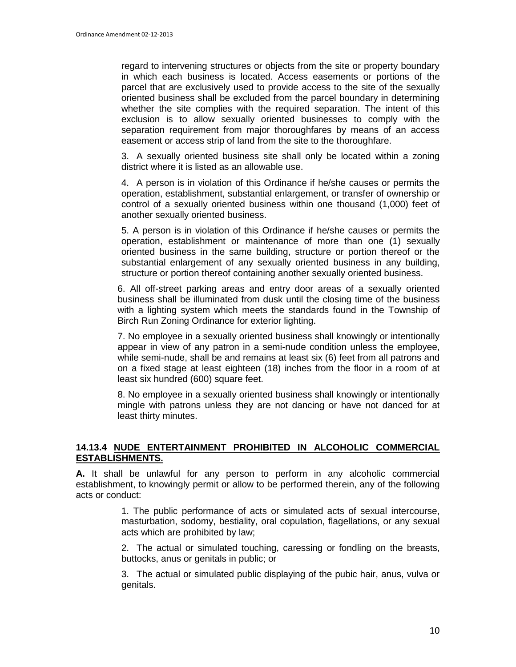regard to intervening structures or objects from the site or property boundary in which each business is located. Access easements or portions of the parcel that are exclusively used to provide access to the site of the sexually oriented business shall be excluded from the parcel boundary in determining whether the site complies with the required separation. The intent of this exclusion is to allow sexually oriented businesses to comply with the separation requirement from major thoroughfares by means of an access easement or access strip of land from the site to the thoroughfare.

3. A sexually oriented business site shall only be located within a zoning district where it is listed as an allowable use.

4. A person is in violation of this Ordinance if he/she causes or permits the operation, establishment, substantial enlargement, or transfer of ownership or control of a sexually oriented business within one thousand (1,000) feet of another sexually oriented business.

5. A person is in violation of this Ordinance if he/she causes or permits the operation, establishment or maintenance of more than one (1) sexually oriented business in the same building, structure or portion thereof or the substantial enlargement of any sexually oriented business in any building, structure or portion thereof containing another sexually oriented business.

6. All off-street parking areas and entry door areas of a sexually oriented business shall be illuminated from dusk until the closing time of the business with a lighting system which meets the standards found in the Township of Birch Run Zoning Ordinance for exterior lighting.

7. No employee in a sexually oriented business shall knowingly or intentionally appear in view of any patron in a semi-nude condition unless the employee, while semi-nude, shall be and remains at least six (6) feet from all patrons and on a fixed stage at least eighteen (18) inches from the floor in a room of at least six hundred (600) square feet.

8. No employee in a sexually oriented business shall knowingly or intentionally mingle with patrons unless they are not dancing or have not danced for at least thirty minutes.

### **14.13.4 NUDE ENTERTAINMENT PROHIBITED IN ALCOHOLIC COMMERCIAL ESTABLISHMENTS.**

**A.** It shall be unlawful for any person to perform in any alcoholic commercial establishment, to knowingly permit or allow to be performed therein, any of the following acts or conduct:

> 1. The public performance of acts or simulated acts of sexual intercourse, masturbation, sodomy, bestiality, oral copulation, flagellations, or any sexual acts which are prohibited by law;

> 2. The actual or simulated touching, caressing or fondling on the breasts, buttocks, anus or genitals in public; or

> 3. The actual or simulated public displaying of the pubic hair, anus, vulva or genitals.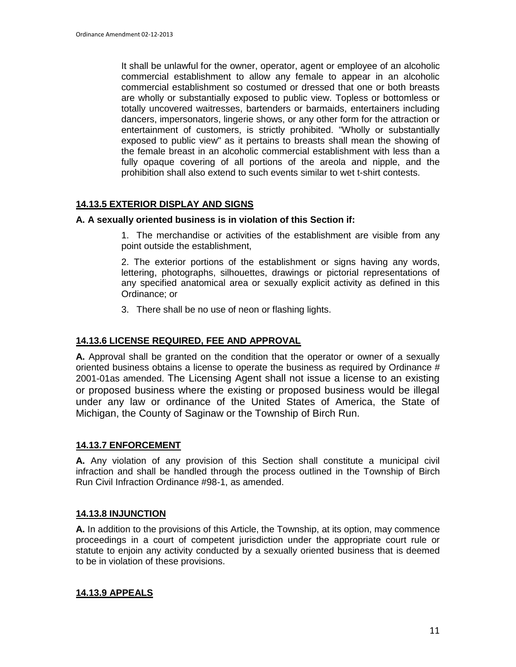It shall be unlawful for the owner, operator, agent or employee of an alcoholic commercial establishment to allow any female to appear in an alcoholic commercial establishment so costumed or dressed that one or both breasts are wholly or substantially exposed to public view. Topless or bottomless or totally uncovered waitresses, bartenders or barmaids, entertainers including dancers, impersonators, lingerie shows, or any other form for the attraction or entertainment of customers, is strictly prohibited. "Wholly or substantially exposed to public view" as it pertains to breasts shall mean the showing of the female breast in an alcoholic commercial establishment with less than a fully opaque covering of all portions of the areola and nipple, and the prohibition shall also extend to such events similar to wet t-shirt contests.

## **14.13.5 EXTERIOR DISPLAY AND SIGNS**

#### **A. A sexually oriented business is in violation of this Section if:**

1. The merchandise or activities of the establishment are visible from any point outside the establishment,

2. The exterior portions of the establishment or signs having any words, lettering, photographs, silhouettes, drawings or pictorial representations of any specified anatomical area or sexually explicit activity as defined in this Ordinance; or

3. There shall be no use of neon or flashing lights.

### **14.13.6 LICENSE REQUIRED, FEE AND APPROVAL**

**A.** Approval shall be granted on the condition that the operator or owner of a sexually oriented business obtains a license to operate the business as required by Ordinance # 2001-01as amended. The Licensing Agent shall not issue a license to an existing or proposed business where the existing or proposed business would be illegal under any law or ordinance of the United States of America, the State of Michigan, the County of Saginaw or the Township of Birch Run.

#### **14.13.7 ENFORCEMENT**

**A.** Any violation of any provision of this Section shall constitute a municipal civil infraction and shall be handled through the process outlined in the Township of Birch Run Civil Infraction Ordinance #98-1, as amended.

#### **14.13.8 INJUNCTION**

**A.** In addition to the provisions of this Article, the Township, at its option, may commence proceedings in a court of competent jurisdiction under the appropriate court rule or statute to enjoin any activity conducted by a sexually oriented business that is deemed to be in violation of these provisions.

### **14.13.9 APPEALS**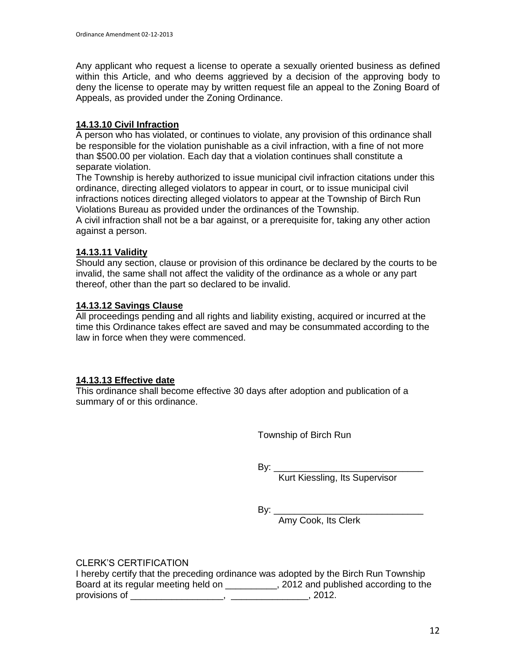Any applicant who request a license to operate a sexually oriented business as defined within this Article, and who deems aggrieved by a decision of the approving body to deny the license to operate may by written request file an appeal to the Zoning Board of Appeals, as provided under the Zoning Ordinance.

## **14.13.10 Civil Infraction**

A person who has violated, or continues to violate, any provision of this ordinance shall be responsible for the violation punishable as a civil infraction, with a fine of not more than \$500.00 per violation. Each day that a violation continues shall constitute a separate violation.

The Township is hereby authorized to issue municipal civil infraction citations under this ordinance, directing alleged violators to appear in court, or to issue municipal civil infractions notices directing alleged violators to appear at the Township of Birch Run Violations Bureau as provided under the ordinances of the Township.

A civil infraction shall not be a bar against, or a prerequisite for, taking any other action against a person.

## **14.13.11 Validity**

Should any section, clause or provision of this ordinance be declared by the courts to be invalid, the same shall not affect the validity of the ordinance as a whole or any part thereof, other than the part so declared to be invalid.

## **14.13.12 Savings Clause**

All proceedings pending and all rights and liability existing, acquired or incurred at the time this Ordinance takes effect are saved and may be consummated according to the law in force when they were commenced.

### **14.13.13 Effective date**

This ordinance shall become effective 30 days after adoption and publication of a summary of or this ordinance.

Township of Birch Run

By: \_\_\_\_\_\_\_\_\_\_\_\_\_\_\_\_\_\_\_\_\_\_\_\_\_\_\_\_\_

Kurt Kiessling, Its Supervisor

By: \_\_\_\_\_\_\_\_\_\_\_\_\_\_\_\_\_\_\_\_\_\_\_\_\_\_\_\_\_

Amy Cook, Its Clerk

CLERK'S CERTIFICATION

I hereby certify that the preceding ordinance was adopted by the Birch Run Township Board at its regular meeting held on \_\_\_\_\_\_\_\_\_\_, 2012 and published according to the provisions of \_\_\_\_\_\_\_\_\_\_\_\_\_\_\_\_\_\_, \_\_\_\_\_\_\_\_\_\_\_\_\_\_\_, 2012.